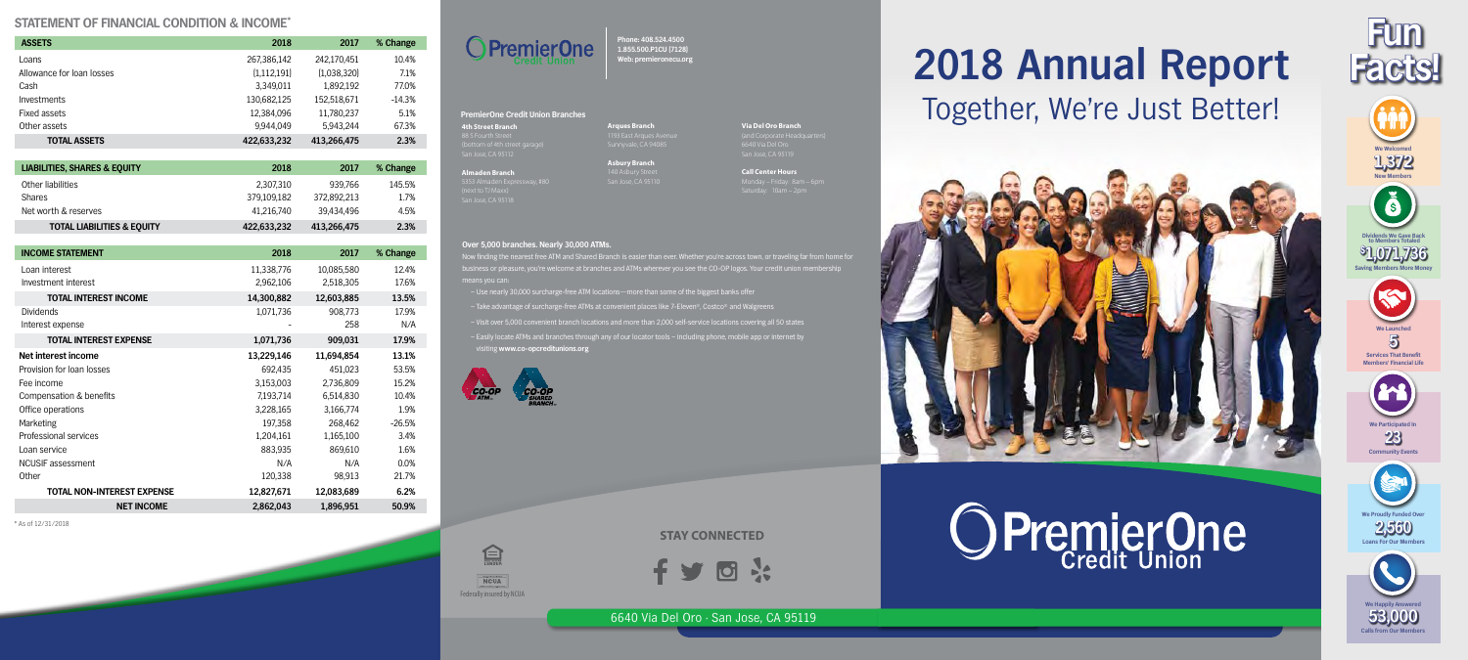# Together, We're Just Better! **2018 Annual Report**



**OPremierOne** 

\* As of 12/31/2018



6640 Via Del Oro • San Jose, CA 95119

Federally insured by NCUA

**NCUA** 

自

#### **Over 5,000 branches. Nearly 30,000 ATMs.**

Now finding the nearest free ATM and Shared Branch is easier than ever. Whether you're across town, or traveling far from home for business or pleasure, you're welcome at branches and ATMs wherever you see the CO-OP logos. Your credit union membership means you can:

- Use nearly 30,000 surcharge-free ATM locations—more than some of the biggest banks offer
- Take advantage of surcharge-free ATMs at convenient places like 7-Eleven®, Costco® and Walgreens
- Visit over 5,000 convenient branch locations and more than 2,000 self-service locations covering all 50 states
- Easily locate ATMs and branches through any of our locator tools including phone, mobile app or internet by visiting **www.co-opcreditunions.org**



**Phone: 408.524.4500 1.855.500.P1CU (7128) Web: premieronecu.org**

#### **PremierOne Credit Union Branches**

**4th Street Branch**

**Almaden Branch**

**Arques Branch** Sunnyvale, CA 94085

**Asbury Branch** 

**Via Del Oro Branch**

**Call Center Hours** Monday – Friday: 8am – 6pm

#### **STATEMENT OF FINANCIAL CONDITION & INCOME\***

**Calls from Our Member 53,000 We Happily Answered**

| <b>ASSETS</b>             | 2018          | 2017        | % Change |
|---------------------------|---------------|-------------|----------|
| Loans                     | 267,386,142   | 242,170,451 | 10.4%    |
| Allowance for loan losses | (1, 112, 191) | (1,038,320) | 7.1%     |
| Cash                      | 3,349,011     | 1,892,192   | 77.0%    |
| <b>Investments</b>        | 130,682,125   | 152,518,671 | $-14.3%$ |
| Fixed assets              | 12,384,096    | 11,780,237  | 5.1%     |
| Other assets              | 9.944.049     | 5.943.244   | 67.3%    |
| <b>TOTAL ASSETS</b>       | 422,633,232   | 413,266,475 | 2.3%     |

| <b>LIABILITIES, SHARES &amp; EOUITY</b> | 2018        | 2017        | % Change |
|-----------------------------------------|-------------|-------------|----------|
| Other liabilities                       | 2.307.310   | 939.766     | 145.5%   |
| <b>Shares</b>                           | 379,109,182 | 372,892,213 | 1.7%     |
| Net worth & reserves                    | 41.216.740  | 39.434.496  | 4.5%     |
| <b>TOTAL LIABILITIES &amp; EQUITY</b>   | 422,633,232 | 413,266,475 | 2.3%     |

| <b>INCOME STATEMENT</b>           | 2018       | 2017       | % Change |
|-----------------------------------|------------|------------|----------|
| Loan interest                     | 11,338,776 | 10,085,580 | 12.4%    |
| Investment interest               | 2,962,106  | 2,518,305  | 17.6%    |
| <b>TOTAL INTEREST INCOME</b>      | 14,300,882 | 12,603,885 | 13.5%    |
| <b>Dividends</b>                  | 1,071,736  | 908,773    | 17.9%    |
| Interest expense                  |            | 258        | N/A      |
| <b>TOTAL INTEREST EXPENSE</b>     | 1,071,736  | 909,031    | 17.9%    |
| Net interest income               | 13,229,146 | 11,694,854 | 13.1%    |
| Provision for loan losses         | 692,435    | 451,023    | 53.5%    |
| Fee income                        | 3,153,003  | 2,736,809  | 15.2%    |
| Compensation & benefits           | 7,193,714  | 6,514,830  | 10.4%    |
| Office operations                 | 3,228,165  | 3,166,774  | 1.9%     |
| Marketing                         | 197,358    | 268,462    | $-26.5%$ |
| Professional services             | 1,204,161  | 1,165,100  | 3.4%     |
| Loan service                      | 883,935    | 869,610    | 1.6%     |
| NCUSIF assessment                 | N/A        | N/A        | 0.0%     |
| Other                             | 120,338    | 98,913     | 21.7%    |
| <b>TOTAL NON-INTEREST EXPENSE</b> | 12,827,671 | 12,083,689 | 6.2%     |
| <b>NET INCOME</b>                 | 2,862,043  | 1,896,951  | 50.9%    |